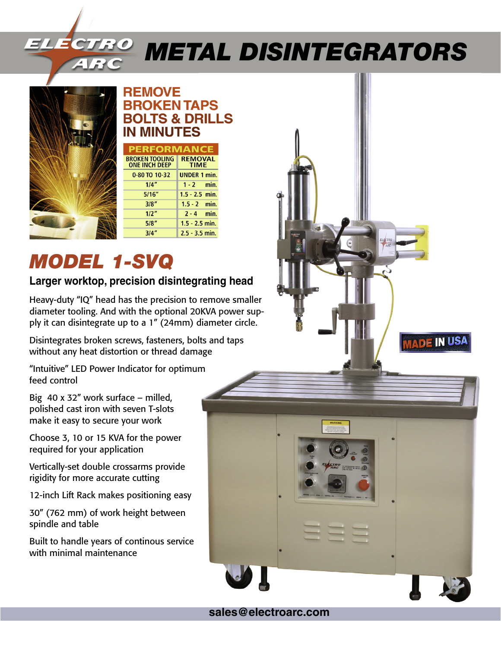# *Metal Disintegrators*



#### **REMOVE BROKEN TAPS BOLTS & DRILLS IN MINUTES**

| <b>PERFORMANCE</b>                            |                               |
|-----------------------------------------------|-------------------------------|
| <b>BROKEN TOOLING</b><br><b>ONE INCH DEEP</b> | <b>REMOVAL</b><br><b>TIME</b> |
| 0-80 TO 10-32                                 | <b>UNDER 1 min.</b>           |
| 1/4"                                          | $1 - 2$ min.                  |
| 5/16"                                         | $1.5 - 2.5$ min.              |
| 3/8"                                          | $1.5 - 2$ min.                |
| 1/2"                                          | $2 - 4$ min.                  |
| 5/8"                                          | $1.5 - 2.5$ min.              |
| 3/4                                           | $2.5 - 3.5$ min.              |

# *MODEL 1-SVQ*

### **Larger worktop, precision disintegrating head**

Heavy-duty "IQ" head has the precision to remove smaller diameter tooling. And with the optional 20KVA power supply it can disintegrate up to a 1" (24mm) diameter circle.

Disintegrates broken screws, fasteners, bolts and taps without any heat distortion or thread damage

"Intuitive" LED Power Indicator for optimum feed control

Big 40 x 32" work surface – milled, polished cast iron with seven T-slots make it easy to secure your work

Choose 3, 10 or 15 KVA for the power required for your application

Vertically-set double crossarms provide rigidity for more accurate cutting

12-inch Lift Rack makes positioning easy

30" (762 mm) of work height between spindle and table

Built to handle years of continous service with minimal maintenance



**sales@electroarc.com**